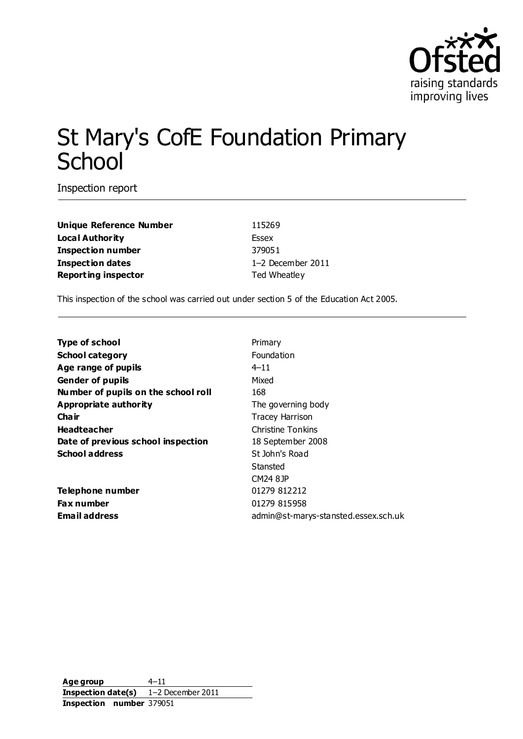

# St Mary's CofE Foundation Primary **School**

Inspection report

**Unique Reference Number** 115269 **Local Authority** Essex **Inspection number** 379051 **Inspection dates** 1–2 December 2011 **Reporting inspector** Ted Wheatley

This inspection of the school was carried out under section 5 of the Education Act 2005.

| <b>Type of school</b>               | Primary                              |
|-------------------------------------|--------------------------------------|
| <b>School category</b>              | <b>Foundation</b>                    |
| Age range of pupils                 | $4 - 11$                             |
| <b>Gender of pupils</b>             | Mixed                                |
| Number of pupils on the school roll | 168                                  |
| Appropriate authority               | The governing body                   |
| Cha ir                              | <b>Tracey Harrison</b>               |
| <b>Headteacher</b>                  | Christine Tonkins                    |
| Date of previous school inspection  | 18 September 2008                    |
| <b>School address</b>               | St John's Road                       |
|                                     | Stansted                             |
|                                     | CM24 8JP                             |
| Telephone number                    | 01279 812212                         |
| <b>Fax number</b>                   | 01279 815958                         |
| <b>Email address</b>                | admin@st-marys-stansted.essex.sch.uk |

**Age group** 4–11 **Inspection date(s)** 1–2 December 2011 **Inspection number** 379051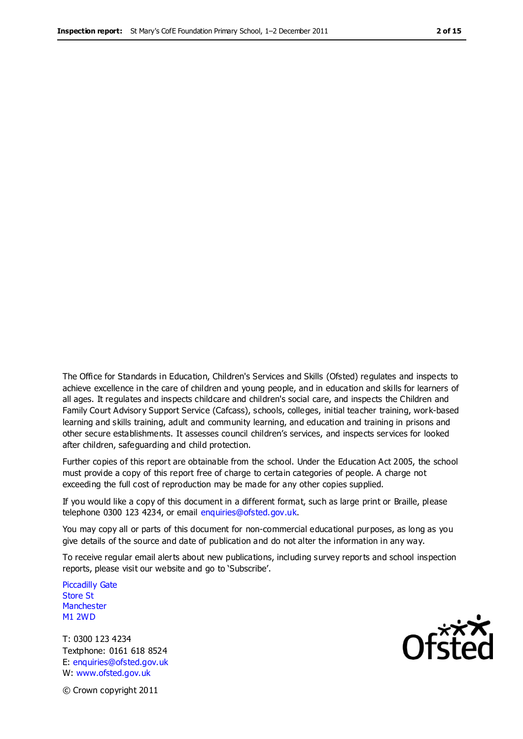The Office for Standards in Education, Children's Services and Skills (Ofsted) regulates and inspects to achieve excellence in the care of children and young people, and in education and skills for learners of all ages. It regulates and inspects childcare and children's social care, and inspects the Children and Family Court Advisory Support Service (Cafcass), schools, colleges, initial teacher training, work-based learning and skills training, adult and community learning, and education and training in prisons and other secure establishments. It assesses council children's services, and inspects services for looked after children, safeguarding and child protection.

Further copies of this report are obtainable from the school. Under the Education Act 2005, the school must provide a copy of this report free of charge to certain categories of people. A charge not exceeding the full cost of reproduction may be made for any other copies supplied.

If you would like a copy of this document in a different format, such as large print or Braille, please telephone 0300 123 4234, or email enquiries@ofsted.gov.uk.

You may copy all or parts of this document for non-commercial educational purposes, as long as you give details of the source and date of publication and do not alter the information in any way.

To receive regular email alerts about new publications, including survey reports and school inspection reports, please visit our website and go to 'Subscribe'.

Piccadilly Gate Store St **Manchester** M1 2WD

T: 0300 123 4234 Textphone: 0161 618 8524 E: enquiries@ofsted.gov.uk W: www.ofsted.gov.uk

**Ofsted** 

© Crown copyright 2011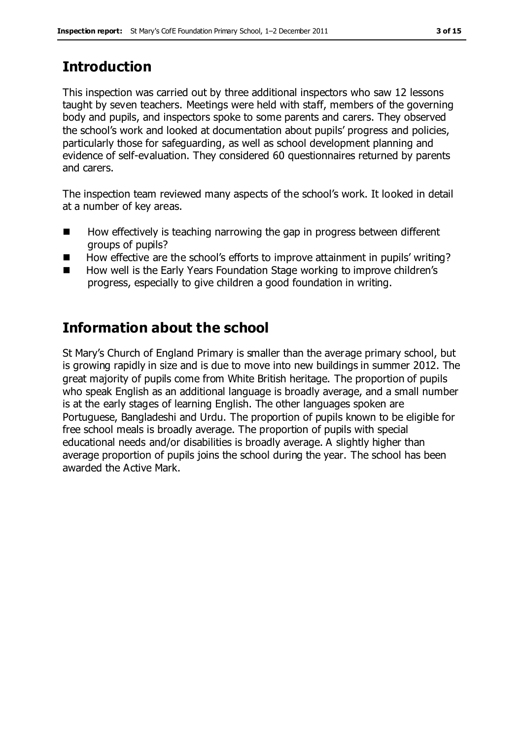# **Introduction**

This inspection was carried out by three additional inspectors who saw 12 lessons taught by seven teachers. Meetings were held with staff, members of the governing body and pupils, and inspectors spoke to some parents and carers. They observed the school's work and looked at documentation about pupils' progress and policies, particularly those for safeguarding, as well as school development planning and evidence of self-evaluation. They considered 60 questionnaires returned by parents and carers.

The inspection team reviewed many aspects of the school's work. It looked in detail at a number of key areas.

- How effectively is teaching narrowing the gap in progress between different groups of pupils?
- $\blacksquare$  How effective are the school's efforts to improve attainment in pupils' writing?
- How well is the Early Years Foundation Stage working to improve children's progress, especially to give children a good foundation in writing.

# **Information about the school**

St Mary's Church of England Primary is smaller than the average primary school, but is growing rapidly in size and is due to move into new buildings in summer 2012. The great majority of pupils come from White British heritage. The proportion of pupils who speak English as an additional language is broadly average, and a small number is at the early stages of learning English. The other languages spoken are Portuguese, Bangladeshi and Urdu. The proportion of pupils known to be eligible for free school meals is broadly average. The proportion of pupils with special educational needs and/or disabilities is broadly average. A slightly higher than average proportion of pupils joins the school during the year. The school has been awarded the Active Mark.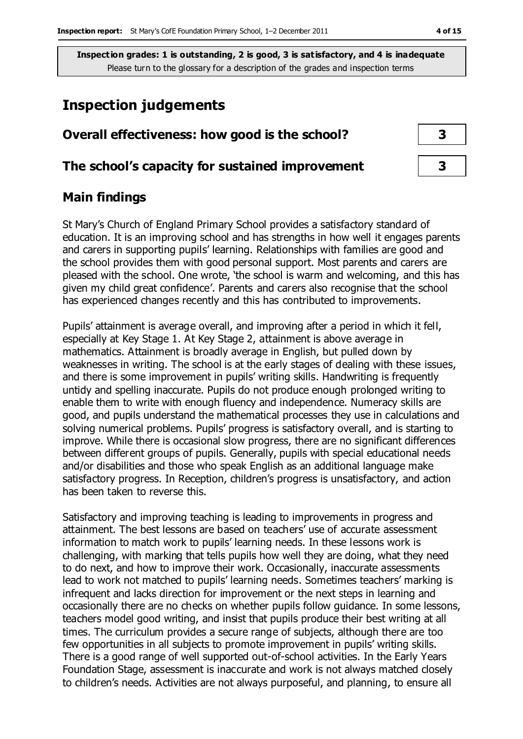## **Inspection judgements**

## **Overall effectiveness: how good is the school? 3**

#### **The school's capacity for sustained improvement 3**

#### **Main findings**

St Mary's Church of England Primary School provides a satisfactory standard of education. It is an improving school and has strengths in how well it engages parents and carers in supporting pupils' learning. Relationships with families are good and the school provides them with good personal support. Most parents and carers are pleased with the school. One wrote, 'the school is warm and welcoming, and this has given my child great confidence'. Parents and carers also recognise that the school has experienced changes recently and this has contributed to improvements.

Pupils' attainment is average overall, and improving after a period in which it fell, especially at Key Stage 1. At Key Stage 2, attainment is above average in mathematics. Attainment is broadly average in English, but pulled down by weaknesses in writing. The school is at the early stages of dealing with these issues, and there is some improvement in pupils' writing skills. Handwriting is frequently untidy and spelling inaccurate. Pupils do not produce enough prolonged writing to enable them to write with enough fluency and independence. Numeracy skills are good, and pupils understand the mathematical processes they use in calculations and solving numerical problems. Pupils' progress is satisfactory overall, and is starting to improve. While there is occasional slow progress, there are no significant differences between different groups of pupils. Generally, pupils with special educational needs and/or disabilities and those who speak English as an additional language make satisfactory progress. In Reception, children's progress is unsatisfactory, and action has been taken to reverse this.

Satisfactory and improving teaching is leading to improvements in progress and attainment. The best lessons are based on teachers' use of accurate assessment information to match work to pupils' learning needs. In these lessons work is challenging, with marking that tells pupils how well they are doing, what they need to do next, and how to improve their work. Occasionally, inaccurate assessments lead to work not matched to pupils' learning needs. Sometimes teachers' marking is infrequent and lacks direction for improvement or the next steps in learning and occasionally there are no checks on whether pupils follow guidance. In some lessons, teachers model good writing, and insist that pupils produce their best writing at all times. The curriculum provides a secure range of subjects, although there are too few opportunities in all subjects to promote improvement in pupils' writing skills. There is a good range of well supported out-of-school activities. In the Early Years Foundation Stage, assessment is inaccurate and work is not always matched closely to children's needs. Activities are not always purposeful, and planning, to ensure all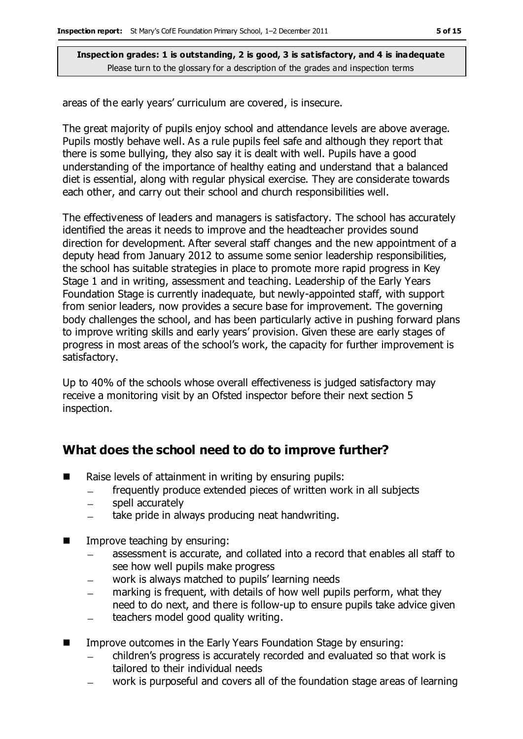areas of the early years' curriculum are covered, is insecure.

The great majority of pupils enjoy school and attendance levels are above average. Pupils mostly behave well. As a rule pupils feel safe and although they report that there is some bullying, they also say it is dealt with well. Pupils have a good understanding of the importance of healthy eating and understand that a balanced diet is essential, along with regular physical exercise. They are considerate towards each other, and carry out their school and church responsibilities well.

The effectiveness of leaders and managers is satisfactory. The school has accurately identified the areas it needs to improve and the headteacher provides sound direction for development. After several staff changes and the new appointment of a deputy head from January 2012 to assume some senior leadership responsibilities, the school has suitable strategies in place to promote more rapid progress in Key Stage 1 and in writing, assessment and teaching. Leadership of the Early Years Foundation Stage is currently inadequate, but newly-appointed staff, with support from senior leaders, now provides a secure base for improvement. The governing body challenges the school, and has been particularly active in pushing forward plans to improve writing skills and early years' provision. Given these are early stages of progress in most areas of the school's work, the capacity for further improvement is satisfactory.

Up to 40% of the schools whose overall effectiveness is judged satisfactory may receive a monitoring visit by an Ofsted inspector before their next section 5 inspection.

## **What does the school need to do to improve further?**

- $\blacksquare$  Raise levels of attainment in writing by ensuring pupils:
	- frequently produce extended pieces of written work in all subjects  $\overline{\phantom{a}}$
	- spell accurately  $\equiv$
	- take pride in always producing neat handwriting.  $\frac{1}{2}$
- Improve teaching by ensuring:
	- assessment is accurate, and collated into a record that enables all staff to  $\frac{1}{2}$ see how well pupils make progress
	- work is always matched to pupils' learning needs  $\frac{1}{2}$
	- marking is frequent, with details of how well pupils perform, what they  $\overline{\phantom{0}}$ need to do next, and there is follow-up to ensure pupils take advice given
	- teachers model good quality writing.  $\equiv$
- Improve outcomes in the Early Years Foundation Stage by ensuring:
	- children's progress is accurately recorded and evaluated so that work is tailored to their individual needs
	- work is purposeful and covers all of the foundation stage areas of learning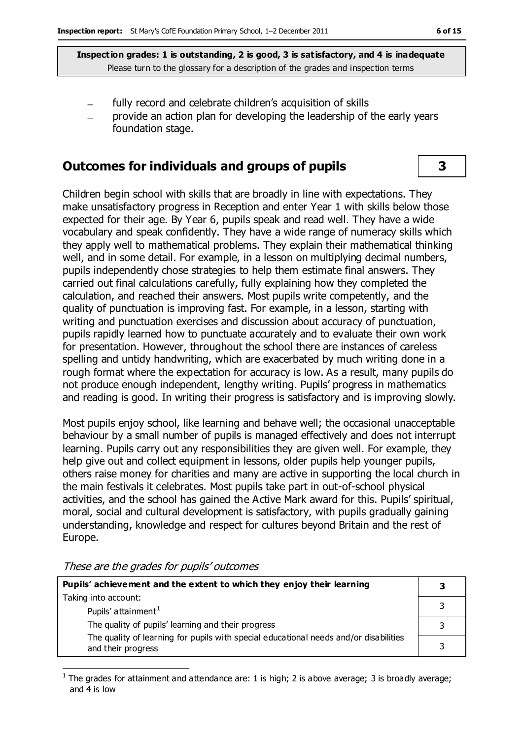- fully record and celebrate children's acquisition of skills
- provide an action plan for developing the leadership of the early years foundation stage.

#### **Outcomes for individuals and groups of pupils 3**

Children begin school with skills that are broadly in line with expectations. They make unsatisfactory progress in Reception and enter Year 1 with skills below those expected for their age. By Year 6, pupils speak and read well. They have a wide vocabulary and speak confidently. They have a wide range of numeracy skills which they apply well to mathematical problems. They explain their mathematical thinking well, and in some detail. For example, in a lesson on multiplying decimal numbers, pupils independently chose strategies to help them estimate final answers. They carried out final calculations carefully, fully explaining how they completed the calculation, and reached their answers. Most pupils write competently, and the quality of punctuation is improving fast. For example, in a lesson, starting with writing and punctuation exercises and discussion about accuracy of punctuation, pupils rapidly learned how to punctuate accurately and to evaluate their own work for presentation. However, throughout the school there are instances of careless spelling and untidy handwriting, which are exacerbated by much writing done in a rough format where the expectation for accuracy is low. As a result, many pupils do not produce enough independent, lengthy writing. Pupils' progress in mathematics and reading is good. In writing their progress is satisfactory and is improving slowly.

Most pupils enjoy school, like learning and behave well; the occasional unacceptable behaviour by a small number of pupils is managed effectively and does not interrupt learning. Pupils carry out any responsibilities they are given well. For example, they help give out and collect equipment in lessons, older pupils help younger pupils, others raise money for charities and many are active in supporting the local church in the main festivals it celebrates. Most pupils take part in out-of-school physical activities, and the school has gained the Active Mark award for this. Pupils' spiritual, moral, social and cultural development is satisfactory, with pupils gradually gaining understanding, knowledge and respect for cultures beyond Britain and the rest of Europe.

These are the grades for pupils' outcomes

 $\overline{a}$ 

| Pupils' achievement and the extent to which they enjoy their learning                                       |  |
|-------------------------------------------------------------------------------------------------------------|--|
| Taking into account:                                                                                        |  |
| Pupils' attainment <sup>1</sup>                                                                             |  |
| The quality of pupils' learning and their progress                                                          |  |
| The quality of learning for pupils with special educational needs and/or disabilities<br>and their progress |  |

<sup>1</sup> The grades for attainment and attendance are: 1 is high; 2 is above average; 3 is broadly average; and 4 is low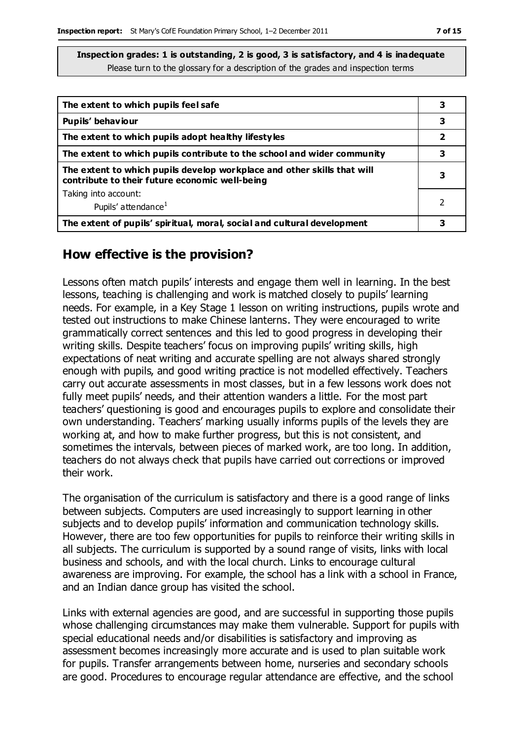| The extent to which pupils feel safe                                                                                      | 3 |
|---------------------------------------------------------------------------------------------------------------------------|---|
| Pupils' behaviour                                                                                                         | 3 |
| The extent to which pupils adopt healthy lifestyles                                                                       | 2 |
| The extent to which pupils contribute to the school and wider community                                                   | 3 |
| The extent to which pupils develop workplace and other skills that will<br>contribute to their future economic well-being | 3 |
| Taking into account:                                                                                                      |   |
| Pupils' attendance <sup>1</sup>                                                                                           |   |
| The extent of pupils' spiritual, moral, social and cultural development                                                   |   |

#### **How effective is the provision?**

Lessons often match pupils' interests and engage them well in learning. In the best lessons, teaching is challenging and work is matched closely to pupils' learning needs. For example, in a Key Stage 1 lesson on writing instructions, pupils wrote and tested out instructions to make Chinese lanterns. They were encouraged to write grammatically correct sentences and this led to good progress in developing their writing skills. Despite teachers' focus on improving pupils' writing skills, high expectations of neat writing and accurate spelling are not always shared strongly enough with pupils, and good writing practice is not modelled effectively. Teachers carry out accurate assessments in most classes, but in a few lessons work does not fully meet pupils' needs, and their attention wanders a little. For the most part teachers' questioning is good and encourages pupils to explore and consolidate their own understanding. Teachers' marking usually informs pupils of the levels they are working at, and how to make further progress, but this is not consistent, and sometimes the intervals, between pieces of marked work, are too long. In addition, teachers do not always check that pupils have carried out corrections or improved their work.

The organisation of the curriculum is satisfactory and there is a good range of links between subjects. Computers are used increasingly to support learning in other subjects and to develop pupils' information and communication technology skills. However, there are too few opportunities for pupils to reinforce their writing skills in all subjects. The curriculum is supported by a sound range of visits, links with local business and schools, and with the local church. Links to encourage cultural awareness are improving. For example, the school has a link with a school in France, and an Indian dance group has visited the school.

Links with external agencies are good, and are successful in supporting those pupils whose challenging circumstances may make them vulnerable. Support for pupils with special educational needs and/or disabilities is satisfactory and improving as assessment becomes increasingly more accurate and is used to plan suitable work for pupils. Transfer arrangements between home, nurseries and secondary schools are good. Procedures to encourage regular attendance are effective, and the school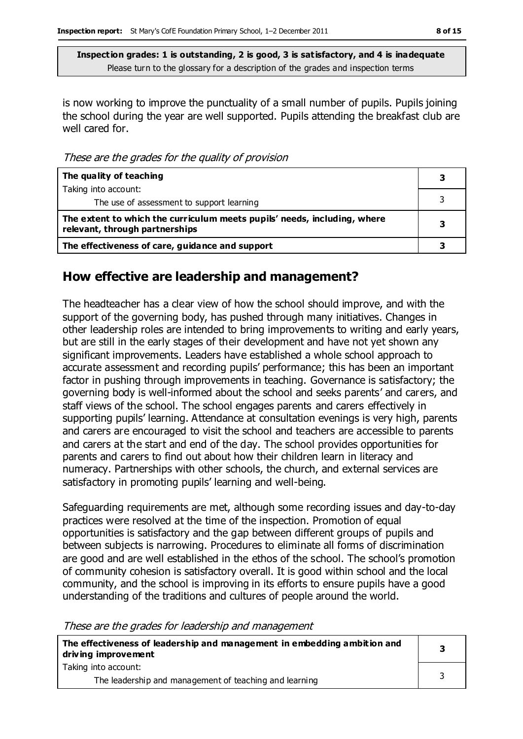is now working to improve the punctuality of a small number of pupils. Pupils joining the school during the year are well supported. Pupils attending the breakfast club are well cared for.

These are the grades for the quality of provision

| The quality of teaching                                                                                    |  |
|------------------------------------------------------------------------------------------------------------|--|
| Taking into account:                                                                                       |  |
| The use of assessment to support learning                                                                  |  |
| The extent to which the curriculum meets pupils' needs, including, where<br>relevant, through partnerships |  |
| The effectiveness of care, guidance and support                                                            |  |

#### **How effective are leadership and management?**

The headteacher has a clear view of how the school should improve, and with the support of the governing body, has pushed through many initiatives. Changes in other leadership roles are intended to bring improvements to writing and early years, but are still in the early stages of their development and have not yet shown any significant improvements. Leaders have established a whole school approach to accurate assessment and recording pupils' performance; this has been an important factor in pushing through improvements in teaching. Governance is satisfactory; the governing body is well-informed about the school and seeks parents' and carers, and staff views of the school. The school engages parents and carers effectively in supporting pupils' learning. Attendance at consultation evenings is very high, parents and carers are encouraged to visit the school and teachers are accessible to parents and carers at the start and end of the day. The school provides opportunities for parents and carers to find out about how their children learn in literacy and numeracy. Partnerships with other schools, the church, and external services are satisfactory in promoting pupils' learning and well-being.

Safeguarding requirements are met, although some recording issues and day-to-day practices were resolved at the time of the inspection. Promotion of equal opportunities is satisfactory and the gap between different groups of pupils and between subjects is narrowing. Procedures to eliminate all forms of discrimination are good and are well established in the ethos of the school. The school's promotion of community cohesion is satisfactory overall. It is good within school and the local community, and the school is improving in its efforts to ensure pupils have a good understanding of the traditions and cultures of people around the world.

These are the grades for leadership and management

| The effectiveness of leadership and management in embedding ambition and<br>driving improvement |  |
|-------------------------------------------------------------------------------------------------|--|
| Taking into account:                                                                            |  |
| The leadership and management of teaching and learning                                          |  |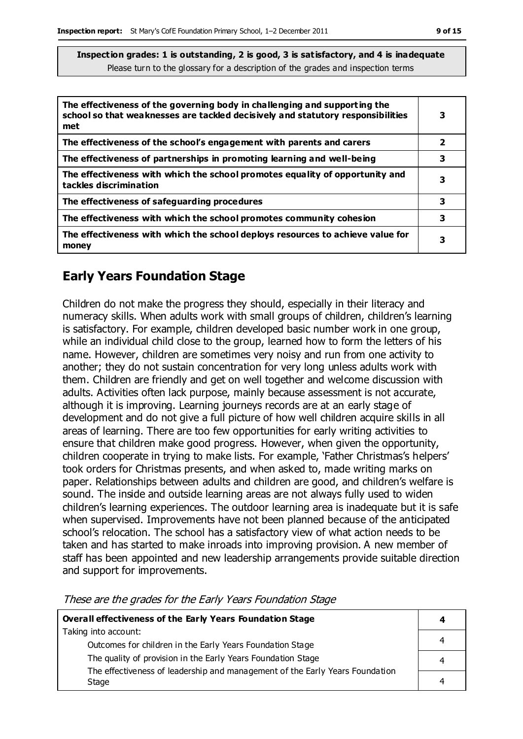| The effectiveness of the governing body in challenging and supporting the<br>school so that weaknesses are tackled decisively and statutory responsibilities<br>met | 3 |
|---------------------------------------------------------------------------------------------------------------------------------------------------------------------|---|
| The effectiveness of the school's engagement with parents and carers                                                                                                | 2 |
| The effectiveness of partnerships in promoting learning and well-being                                                                                              | 3 |
| The effectiveness with which the school promotes equality of opportunity and<br>tackles discrimination                                                              | з |
| The effectiveness of safeguarding procedures                                                                                                                        | 3 |
| The effectiveness with which the school promotes community cohesion                                                                                                 | 3 |
| The effectiveness with which the school deploys resources to achieve value for<br>money                                                                             | 3 |

## **Early Years Foundation Stage**

Children do not make the progress they should, especially in their literacy and numeracy skills. When adults work with small groups of children, children's learning is satisfactory. For example, children developed basic number work in one group, while an individual child close to the group, learned how to form the letters of his name. However, children are sometimes very noisy and run from one activity to another; they do not sustain concentration for very long unless adults work with them. Children are friendly and get on well together and welcome discussion with adults. Activities often lack purpose, mainly because assessment is not accurate, although it is improving. Learning journeys records are at an early stage of development and do not give a full picture of how well children acquire skills in all areas of learning. There are too few opportunities for early writing activities to ensure that children make good progress. However, when given the opportunity, children cooperate in trying to make lists. For example, 'Father Christmas's helpers' took orders for Christmas presents, and when asked to, made writing marks on paper. Relationships between adults and children are good, and children's welfare is sound. The inside and outside learning areas are not always fully used to widen children's learning experiences. The outdoor learning area is inadequate but it is safe when supervised. Improvements have not been planned because of the anticipated school's relocation. The school has a satisfactory view of what action needs to be taken and has started to make inroads into improving provision. A new member of staff has been appointed and new leadership arrangements provide suitable direction and support for improvements.

| Overall effectiveness of the Early Years Foundation Stage                    |   |
|------------------------------------------------------------------------------|---|
| Taking into account:                                                         |   |
| Outcomes for children in the Early Years Foundation Stage                    | 4 |
| The quality of provision in the Early Years Foundation Stage                 | 4 |
|                                                                              |   |
| Stage                                                                        | 4 |
| The effectiveness of leadership and management of the Early Years Foundation |   |

These are the grades for the Early Years Foundation Stage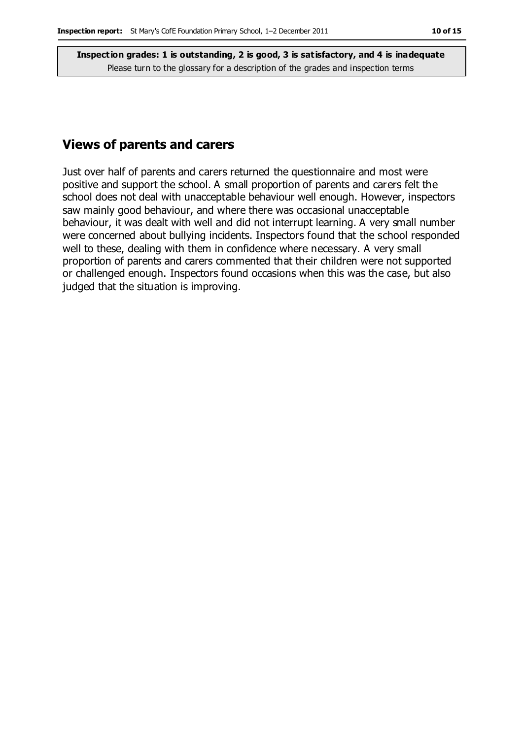#### **Views of parents and carers**

Just over half of parents and carers returned the questionnaire and most were positive and support the school. A small proportion of parents and carers felt the school does not deal with unacceptable behaviour well enough. However, inspectors saw mainly good behaviour, and where there was occasional unacceptable behaviour, it was dealt with well and did not interrupt learning. A very small number were concerned about bullying incidents. Inspectors found that the school responded well to these, dealing with them in confidence where necessary. A very small proportion of parents and carers commented that their children were not supported or challenged enough. Inspectors found occasions when this was the case, but also judged that the situation is improving.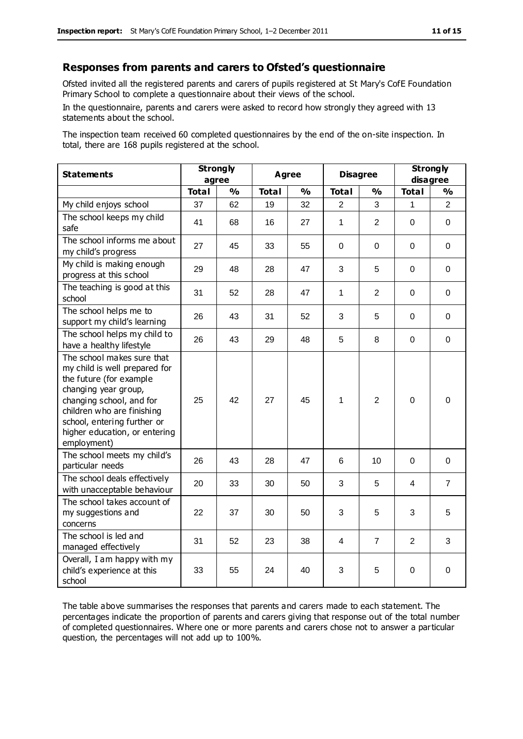#### **Responses from parents and carers to Ofsted's questionnaire**

Ofsted invited all the registered parents and carers of pupils registered at St Mary's CofE Foundation Primary School to complete a questionnaire about their views of the school.

In the questionnaire, parents and carers were asked to record how strongly they agreed with 13 statements about the school.

The inspection team received 60 completed questionnaires by the end of the on-site inspection. In total, there are 168 pupils registered at the school.

| <b>Statements</b>                                                                                                                                                                                                                                       | <b>Strongly</b><br>agree |               | Agree        |               | <b>Disagree</b> |                | <b>Strongly</b><br>disagree |                |
|---------------------------------------------------------------------------------------------------------------------------------------------------------------------------------------------------------------------------------------------------------|--------------------------|---------------|--------------|---------------|-----------------|----------------|-----------------------------|----------------|
|                                                                                                                                                                                                                                                         | <b>Total</b>             | $\frac{1}{2}$ | <b>Total</b> | $\frac{1}{2}$ | <b>Total</b>    | %              | <b>Total</b>                | %              |
| My child enjoys school                                                                                                                                                                                                                                  | 37                       | 62            | 19           | 32            | $\overline{2}$  | 3              | $\mathbf{1}$                | $\overline{2}$ |
| The school keeps my child<br>safe                                                                                                                                                                                                                       | 41                       | 68            | 16           | 27            | 1               | 2              | $\overline{0}$              | $\mathbf 0$    |
| The school informs me about<br>my child's progress                                                                                                                                                                                                      | 27                       | 45            | 33           | 55            | $\Omega$        | $\Omega$       | $\mathbf 0$                 | $\Omega$       |
| My child is making enough<br>progress at this school                                                                                                                                                                                                    | 29                       | 48            | 28           | 47            | 3               | 5              | 0                           | 0              |
| The teaching is good at this<br>school                                                                                                                                                                                                                  | 31                       | 52            | 28           | 47            | $\mathbf{1}$    | $\overline{2}$ | $\Omega$                    | $\mathbf 0$    |
| The school helps me to<br>support my child's learning                                                                                                                                                                                                   | 26                       | 43            | 31           | 52            | 3               | 5              | $\Omega$                    | $\Omega$       |
| The school helps my child to<br>have a healthy lifestyle                                                                                                                                                                                                | 26                       | 43            | 29           | 48            | 5               | 8              | $\mathbf 0$                 | $\pmb{0}$      |
| The school makes sure that<br>my child is well prepared for<br>the future (for example<br>changing year group,<br>changing school, and for<br>children who are finishing<br>school, entering further or<br>higher education, or entering<br>employment) | 25                       | 42            | 27           | 45            | 1               | $\overline{2}$ | $\mathbf 0$                 | $\Omega$       |
| The school meets my child's<br>particular needs                                                                                                                                                                                                         | 26                       | 43            | 28           | 47            | 6               | 10             | $\Omega$                    | 0              |
| The school deals effectively<br>with unacceptable behaviour                                                                                                                                                                                             | 20                       | 33            | 30           | 50            | 3               | 5              | 4                           | $\overline{7}$ |
| The school takes account of<br>my suggestions and<br>concerns                                                                                                                                                                                           | 22                       | 37            | 30           | 50            | 3               | 5              | 3                           | 5              |
| The school is led and<br>managed effectively                                                                                                                                                                                                            | 31                       | 52            | 23           | 38            | 4               | 7              | $\overline{2}$              | 3              |
| Overall, I am happy with my<br>child's experience at this<br>school                                                                                                                                                                                     | 33                       | 55            | 24           | 40            | 3               | 5              | $\mathbf 0$                 | $\pmb{0}$      |

The table above summarises the responses that parents and carers made to each statement. The percentages indicate the proportion of parents and carers giving that response out of the total number of completed questionnaires. Where one or more parents and carers chose not to answer a particular question, the percentages will not add up to 100%.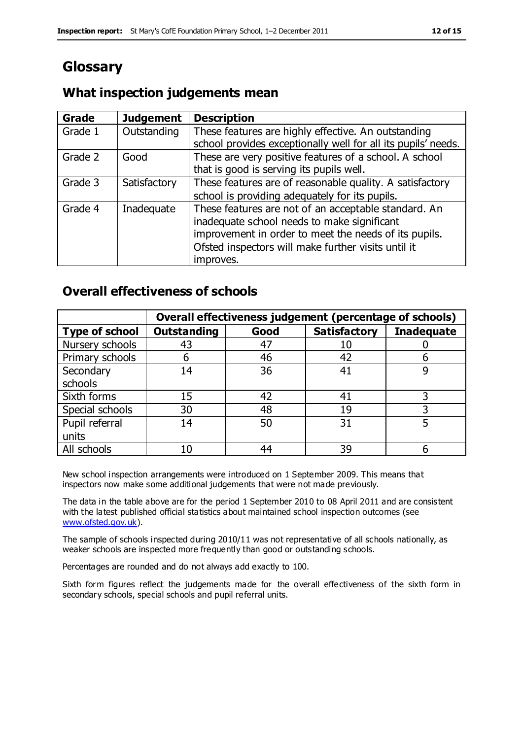# **Glossary**

#### **What inspection judgements mean**

| <b>Grade</b> | <b>Judgement</b> | <b>Description</b>                                                                                                                                                                                                               |
|--------------|------------------|----------------------------------------------------------------------------------------------------------------------------------------------------------------------------------------------------------------------------------|
| Grade 1      | Outstanding      | These features are highly effective. An outstanding<br>school provides exceptionally well for all its pupils' needs.                                                                                                             |
| Grade 2      | Good             | These are very positive features of a school. A school<br>that is good is serving its pupils well.                                                                                                                               |
| Grade 3      | Satisfactory     | These features are of reasonable quality. A satisfactory<br>school is providing adequately for its pupils.                                                                                                                       |
| Grade 4      | Inadequate       | These features are not of an acceptable standard. An<br>inadequate school needs to make significant<br>improvement in order to meet the needs of its pupils.<br>Ofsted inspectors will make further visits until it<br>improves. |

### **Overall effectiveness of schools**

|                       |                    |      | Overall effectiveness judgement (percentage of schools) |                   |
|-----------------------|--------------------|------|---------------------------------------------------------|-------------------|
| <b>Type of school</b> | <b>Outstanding</b> | Good | <b>Satisfactory</b>                                     | <b>Inadequate</b> |
| Nursery schools       | 43                 | 47   | 10                                                      |                   |
| Primary schools       | h                  | 46   | 42                                                      |                   |
| Secondary             | 14                 | 36   | 41                                                      |                   |
| schools               |                    |      |                                                         |                   |
| Sixth forms           | 15                 | 42   | 41                                                      |                   |
| Special schools       | 30                 | 48   | 19                                                      |                   |
| Pupil referral        | 14                 | 50   | 31                                                      |                   |
| units                 |                    |      |                                                         |                   |
| All schools           | 10                 | 44   | 39                                                      |                   |

New school inspection arrangements were introduced on 1 September 2009. This means that inspectors now make some additional judgements that were not made previously.

The data in the table above are for the period 1 September 2010 to 08 April 2011 and are consistent with the latest published official statistics about maintained school inspection outcomes (see [www.ofsted.gov.uk\)](http://www.ofsted.gov.uk/).

The sample of schools inspected during 2010/11 was not representative of all schools nationally, as weaker schools are inspected more frequently than good or outstanding schools.

Percentages are rounded and do not always add exactly to 100.

Sixth form figures reflect the judgements made for the overall effectiveness of the sixth form in secondary schools, special schools and pupil referral units.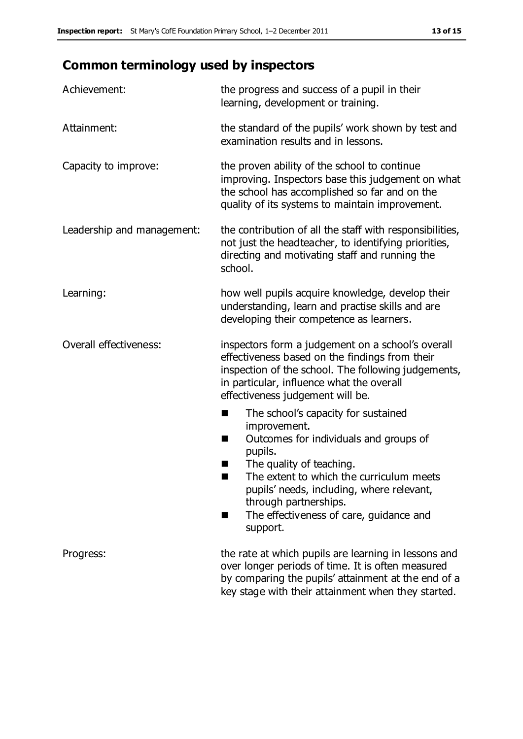# **Common terminology used by inspectors**

| Achievement:               | the progress and success of a pupil in their<br>learning, development or training.                                                                                                                                                                                                                                                 |
|----------------------------|------------------------------------------------------------------------------------------------------------------------------------------------------------------------------------------------------------------------------------------------------------------------------------------------------------------------------------|
| Attainment:                | the standard of the pupils' work shown by test and<br>examination results and in lessons.                                                                                                                                                                                                                                          |
| Capacity to improve:       | the proven ability of the school to continue<br>improving. Inspectors base this judgement on what<br>the school has accomplished so far and on the<br>quality of its systems to maintain improvement.                                                                                                                              |
| Leadership and management: | the contribution of all the staff with responsibilities,<br>not just the headteacher, to identifying priorities,<br>directing and motivating staff and running the<br>school.                                                                                                                                                      |
| Learning:                  | how well pupils acquire knowledge, develop their<br>understanding, learn and practise skills and are<br>developing their competence as learners.                                                                                                                                                                                   |
| Overall effectiveness:     | inspectors form a judgement on a school's overall<br>effectiveness based on the findings from their<br>inspection of the school. The following judgements,<br>in particular, influence what the overall<br>effectiveness judgement will be.                                                                                        |
|                            | The school's capacity for sustained<br>E<br>improvement.<br>Outcomes for individuals and groups of<br>H<br>pupils.<br>The quality of teaching.<br>The extent to which the curriculum meets<br>ш<br>pupils' needs, including, where relevant,<br>through partnerships.<br>The effectiveness of care, guidance and<br>H.<br>support. |
| Progress:                  | the rate at which pupils are learning in lessons and<br>over longer periods of time. It is often measured<br>by comparing the pupils' attainment at the end of a<br>key stage with their attainment when they started.                                                                                                             |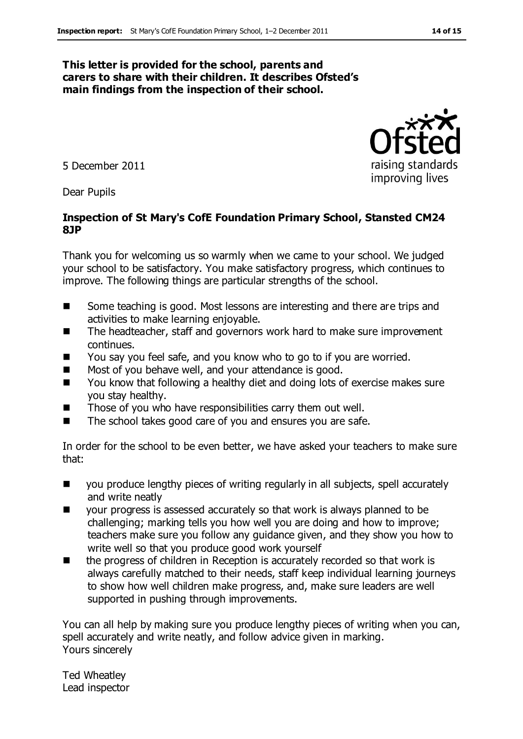#### **This letter is provided for the school, parents and carers to share with their children. It describes Ofsted's main findings from the inspection of their school.**

5 December 2011

Dear Pupils

#### **Inspection of St Mary's CofE Foundation Primary School, Stansted CM24 8JP**

Thank you for welcoming us so warmly when we came to your school. We judged your school to be satisfactory. You make satisfactory progress, which continues to improve. The following things are particular strengths of the school.

- Some teaching is good. Most lessons are interesting and there are trips and activities to make learning enjoyable.
- The headteacher, staff and governors work hard to make sure improvement continues.
- You say you feel safe, and you know who to go to if you are worried.
- Most of you behave well, and your attendance is good.
- You know that following a healthy diet and doing lots of exercise makes sure you stay healthy.
- Those of you who have responsibilities carry them out well.
- The school takes good care of you and ensures you are safe.

In order for the school to be even better, we have asked your teachers to make sure that:

- you produce lengthy pieces of writing regularly in all subjects, spell accurately and write neatly
- your progress is assessed accurately so that work is always planned to be challenging; marking tells you how well you are doing and how to improve; teachers make sure you follow any guidance given, and they show you how to write well so that you produce good work yourself
- the progress of children in Reception is accurately recorded so that work is always carefully matched to their needs, staff keep individual learning journeys to show how well children make progress, and, make sure leaders are well supported in pushing through improvements.

You can all help by making sure you produce lengthy pieces of writing when you can, spell accurately and write neatly, and follow advice given in marking. Yours sincerely

Ted Wheatley Lead inspector